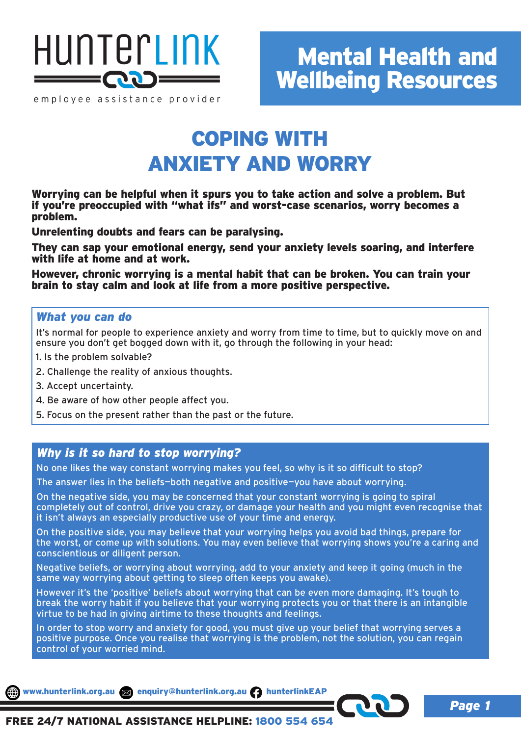

employee assistance provider

## COPING WITH ANXIETY AND WORRY

Worrying can be helpful when it spurs you to take action and solve a problem. But if you're preoccupied with "what ifs" and worst-case scenarios, worry becomes a problem.

Unrelenting doubts and fears can be paralysing.

They can sap your emotional energy, send your anxiety levels soaring, and interfere with life at home and at work.

However, chronic worrying is a mental habit that can be broken. You can train your brain to stay calm and look at life from a more positive perspective.

### *What you can do*

It's normal for people to experience anxiety and worry from time to time, but to quickly move on and ensure you don't get bogged down with it, go through the following in your head:

- 1. Is the problem solvable?
- 2. Challenge the reality of anxious thoughts.
- 3. Accept uncertainty.
- 4. Be aware of how other people affect you.
- 5. Focus on the present rather than the past or the future.

### *Why is it so hard to stop worrying?*

No one likes the way constant worrying makes you feel, so why is it so difficult to stop?

The answer lies in the beliefs—both negative and positive—you have about worrying.

On the negative side, you may be concerned that your constant worrying is going to spiral completely out of control, drive you crazy, or damage your health and you might even recognise that it isn't always an especially productive use of your time and energy.

On the positive side, you may believe that your worrying helps you avoid bad things, prepare for the worst, or come up with solutions. You may even believe that worrying shows you're a caring and conscientious or diligent person.

Negative beliefs, or worrying about worrying, add to your anxiety and keep it going (much in the same way worrying about getting to sleep often keeps you awake).

However it's the 'positive' beliefs about worrying that can be even more damaging. It's tough to break the worry habit if you believe that your worrying protects you or that there is an intangible virtue to be had in giving airtime to these thoughts and feelings.

In order to stop worry and anxiety for good, you must give up your belief that worrying serves a positive purpose. Once you realise that worrying is the problem, not the solution, you can regain control of your worried mind.

www.hunterlink.org.au enquiry@hunterlink.org.au hunterlinkEAP

*Page 1*

FREE 24/7 NATIONAL ASSISTANCE HELPLINE: 1800 554 654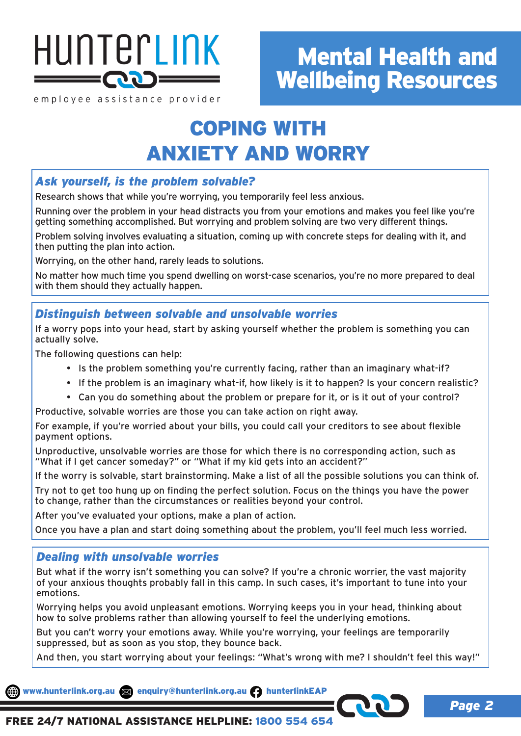

employee assistance provider

## COPING WITH ANXIETY AND WORRY

## *Ask yourself, is the problem solvable?*

Research shows that while you're worrying, you temporarily feel less anxious.

Running over the problem in your head distracts you from your emotions and makes you feel like you're getting something accomplished. But worrying and problem solving are two very different things.

Problem solving involves evaluating a situation, coming up with concrete steps for dealing with it, and then putting the plan into action.

Worrying, on the other hand, rarely leads to solutions.

No matter how much time you spend dwelling on worst-case scenarios, you're no more prepared to deal with them should they actually happen.

## *Distinguish between solvable and unsolvable worries*

If a worry pops into your head, start by asking yourself whether the problem is something you can actually solve.

The following questions can help:

- Is the problem something you're currently facing, rather than an imaginary what-if?
- If the problem is an imaginary what-if, how likely is it to happen? Is your concern realistic?
- Can you do something about the problem or prepare for it, or is it out of your control?

Productive, solvable worries are those you can take action on right away.

For example, if you're worried about your bills, you could call your creditors to see about flexible payment options.

Unproductive, unsolvable worries are those for which there is no corresponding action, such as "What if I get cancer someday?" or "What if my kid gets into an accident?"

If the worry is solvable, start brainstorming. Make a list of all the possible solutions you can think of.

Try not to get too hung up on finding the perfect solution. Focus on the things you have the power to change, rather than the circumstances or realities beyond your control.

After you've evaluated your options, make a plan of action.

Once you have a plan and start doing something about the problem, you'll feel much less worried.

## *Dealing with unsolvable worries*

But what if the worry isn't something you can solve? If you're a chronic worrier, the vast majority of your anxious thoughts probably fall in this camp. In such cases, it's important to tune into your emotions.

Worrying helps you avoid unpleasant emotions. Worrying keeps you in your head, thinking about how to solve problems rather than allowing yourself to feel the underlying emotions.

But you can't worry your emotions away. While you're worrying, your feelings are temporarily suppressed, but as soon as you stop, they bounce back.

And then, you start worrying about your feelings: "What's wrong with me? I shouldn't feel this way!"

www.hunterlink.org.au and enquiry@hunterlink.org.au hunterlinkEAF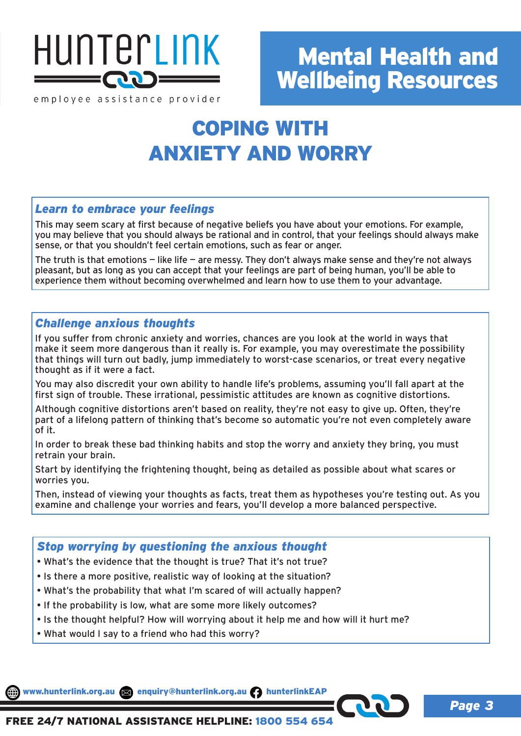

employee assistance provider

## COPING WITH ANXIETY AND WORRY

### *Learn to embrace your feelings*

This may seem scary at first because of negative beliefs you have about your emotions. For example, you may believe that you should always be rational and in control, that your feelings should always make sense, or that you shouldn't feel certain emotions, such as fear or anger.

The truth is that emotions  $-$  like life  $-$  are messy. They don't always make sense and they're not always pleasant, but as long as you can accept that your feelings are part of being human, you'll be able to experience them without becoming overwhelmed and learn how to use them to your advantage.

### *Challenge anxious thoughts*

If you suffer from chronic anxiety and worries, chances are you look at the world in ways that make it seem more dangerous than it really is. For example, you may overestimate the possibility that things will turn out badly, jump immediately to worst-case scenarios, or treat every negative thought as if it were a fact.

You may also discredit your own ability to handle life's problems, assuming you'll fall apart at the first sign of trouble. These irrational, pessimistic attitudes are known as cognitive distortions.

Although cognitive distortions aren't based on reality, they're not easy to give up. Often, they're part of a lifelong pattern of thinking that's become so automatic you're not even completely aware of it.

In order to break these bad thinking habits and stop the worry and anxiety they bring, you must retrain your brain.

Start by identifying the frightening thought, being as detailed as possible about what scares or worries you.

Then, instead of viewing your thoughts as facts, treat them as hypotheses you're testing out. As you examine and challenge your worries and fears, you'll develop a more balanced perspective.

## *Stop worrying by questioning the anxious thought*

- What's the evidence that the thought is true? That it's not true?
- Is there a more positive, realistic way of looking at the situation?
- What's the probability that what I'm scared of will actually happen?
- If the probability is low, what are some more likely outcomes?
- Is the thought helpful? How will worrying about it help me and how will it hurt me?
- What would I say to a friend who had this worry?

www.hunterlink.org.au sa enquiry@hunterlink.org.au numerlinkEAP

*Page 3*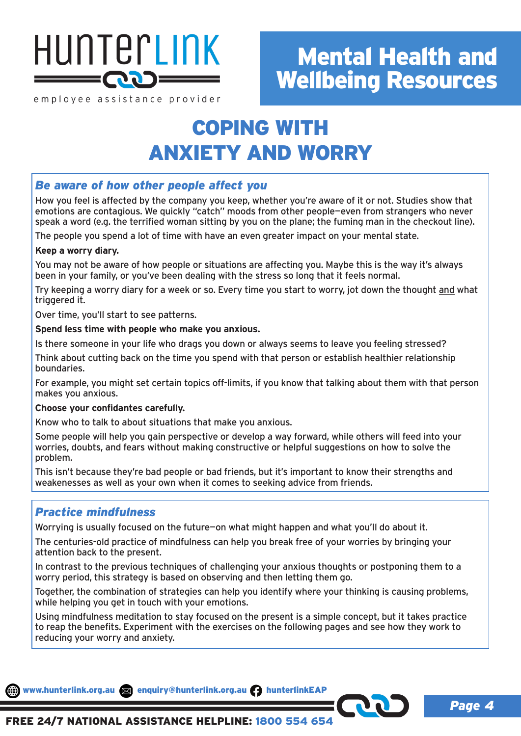

employee assistance provider

## COPING WITH ANXIETY AND WORRY

## *Be aware of how other people affect you*

How you feel is affected by the company you keep, whether you're aware of it or not. Studies show that emotions are contagious. We quickly "catch" moods from other people—even from strangers who never speak a word (e.g. the terrified woman sitting by you on the plane; the fuming man in the checkout line).

The people you spend a lot of time with have an even greater impact on your mental state.

### **Keep a worry diary.**

You may not be aware of how people or situations are affecting you. Maybe this is the way it's always been in your family, or you've been dealing with the stress so long that it feels normal.

Try keeping a worry diary for a week or so. Every time you start to worry, jot down the thought and what triggered it.

Over time, you'll start to see patterns.

### **Spend less time with people who make you anxious.**

Is there someone in your life who drags you down or always seems to leave you feeling stressed?

Think about cutting back on the time you spend with that person or establish healthier relationship boundaries.

For example, you might set certain topics off-limits, if you know that talking about them with that person makes you anxious.

### **Choose your confidantes carefully.**

Know who to talk to about situations that make you anxious.

Some people will help you gain perspective or develop a way forward, while others will feed into your worries, doubts, and fears without making constructive or helpful suggestions on how to solve the problem.

This isn't because they're bad people or bad friends, but it's important to know their strengths and weakenesses as well as your own when it comes to seeking advice from friends.

## *Practice mindfulness*

Worrying is usually focused on the future—on what might happen and what you'll do about it.

The centuries-old practice of mindfulness can help you break free of your worries by bringing your attention back to the present.

In contrast to the previous techniques of challenging your anxious thoughts or postponing them to a worry period, this strategy is based on observing and then letting them go.

Together, the combination of strategies can help you identify where your thinking is causing problems, while helping you get in touch with your emotions.

Using mindfulness meditation to stay focused on the present is a simple concept, but it takes practice to reap the benefits. Experiment with the exercises on the following pages and see how they work to reducing your worry and anxiety.

www.hunterlink.org.au and enquiry@hunterlink.org.au numberlinkEAP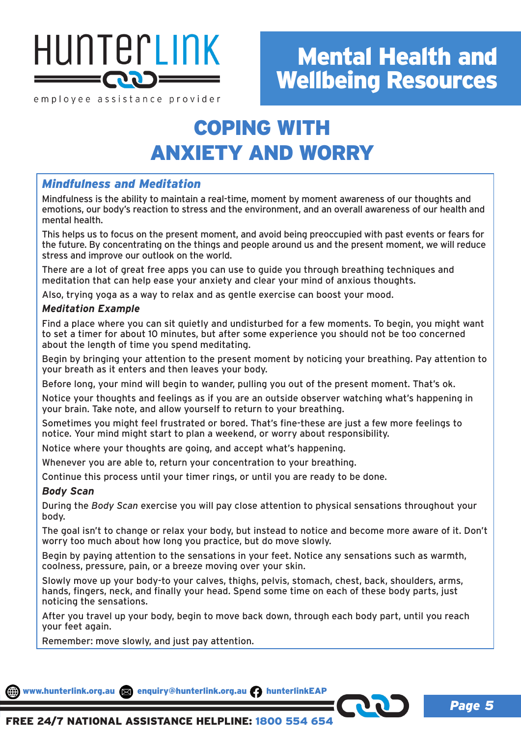

employee assistance provider

## COPING WITH ANXIETY AND WORRY

## *Mindfulness and Meditation*

Mindfulness is the ability to maintain a real-time, moment by moment awareness of our thoughts and emotions, our body's reaction to stress and the environment, and an overall awareness of our health and mental health.

This helps us to focus on the present moment, and avoid being preoccupied with past events or fears for the future. By concentrating on the things and people around us and the present moment, we will reduce stress and improve our outlook on the world.

There are a lot of great free apps you can use to guide you through breathing techniques and meditation that can help ease your anxiety and clear your mind of anxious thoughts.

Also, trying yoga as a way to relax and as gentle exercise can boost your mood.

### *Meditation Example*

Find a place where you can sit quietly and undisturbed for a few moments. To begin, you might want to set a timer for about 10 minutes, but after some experience you should not be too concerned about the length of time you spend meditating.

Begin by bringing your attention to the present moment by noticing your breathing. Pay attention to your breath as it enters and then leaves your body.

Before long, your mind will begin to wander, pulling you out of the present moment. That's ok.

Notice your thoughts and feelings as if you are an outside observer watching what's happening in your brain. Take note, and allow yourself to return to your breathing.

Sometimes you might feel frustrated or bored. That's fine-these are just a few more feelings to notice. Your mind might start to plan a weekend, or worry about responsibility.

Notice where your thoughts are going, and accept what's happening.

Whenever you are able to, return your concentration to your breathing.

Continue this process until your timer rings, or until you are ready to be done.

#### *Body Scan*

During the *Body Scan* exercise you will pay close attention to physical sensations throughout your body.

The goal isn't to change or relax your body, but instead to notice and become more aware of it. Don't worry too much about how long you practice, but do move slowly.

Begin by paying attention to the sensations in your feet. Notice any sensations such as warmth, coolness, pressure, pain, or a breeze moving over your skin.

Slowly move up your body-to your calves, thighs, pelvis, stomach, chest, back, shoulders, arms, hands, fingers, neck, and finally your head. Spend some time on each of these body parts, just noticing the sensations.

After you travel up your body, begin to move back down, through each body part, until you reach your feet again.

Remember: move slowly, and just pay attention.

www.hunterlink.org.au and enquiry@hunterlink.org.au hunterlinkEAP